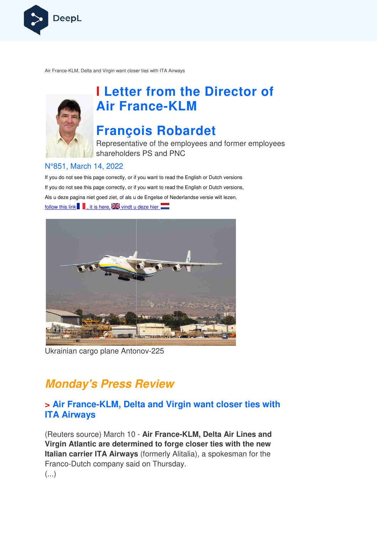

Air France-KLM, Delta and Virgin want closer ties with ITA Airways



# **I Letter from the Director of Air France France-KLM**

# **François Robardet**

Representative of the employees and former employees shareholders PS and PNC

#### N°851, March 14, 2022

If you do not see this page correctly, or if you want to read the English or Dutch versions If you do not see this page correctly, or if you want to read the English or Dutch versions, Als u deze pagina niet goed ziet, of als u de Engelse of Nederlandse v versie wilt lezen, follow this link , it is here,  $\frac{1}{2}$  vindt u deze hier



Ukrainian cargo plane Antonov-225

## **Monday's Press Review**

### **> Air France-KLM, Delta and Virgin want closer ties with ITA Airways**

(Reuters source) March 10 - **Air France-KLM, Delta Air Lines and Virgin Atlantic are determined to forge closer ties with the new Italian carrier ITA Airways**  (formerly Alitalia), a spokesman for the Franco-Dutch company said on Thursday.  $\left(\ldots\right)$ s source) March 10 - **Air France-KLM,**<br>**Atlantic are determined to forge close**<br>parrier ITA Airways (formerly Alitalia), a<br>Dutch company said on Thursday.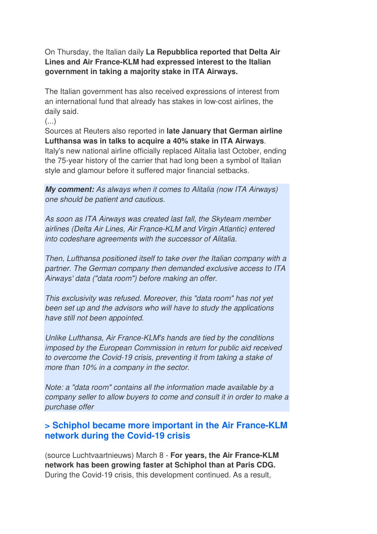On Thursday, the Italian daily **La Repubblica reported that Delta Air Lines and Air France-KLM had expressed interest to the Italian government in taking a majority stake in ITA Airways.** 

The Italian government has also received expressions of interest from an international fund that already has stakes in low-cost airlines, the daily said.

(...)

Sources at Reuters also reported in **late January that German airline Lufthansa was in talks to acquire a 40% stake in ITA Airways**.

Italy's new national airline officially replaced Alitalia last October, ending the 75-year history of the carrier that had long been a symbol of Italian style and glamour before it suffered major financial setbacks.

**My comment:** As always when it comes to Alitalia (now ITA Airways) one should be patient and cautious.

As soon as ITA Airways was created last fall, the Skyteam member airlines (Delta Air Lines, Air France-KLM and Virgin Atlantic) entered into codeshare agreements with the successor of Alitalia.

Then, Lufthansa positioned itself to take over the Italian company with a partner. The German company then demanded exclusive access to ITA Airways' data ("data room") before making an offer.

This exclusivity was refused. Moreover, this "data room" has not yet been set up and the advisors who will have to study the applications have still not been appointed.

Unlike Lufthansa, Air France-KLM's hands are tied by the conditions imposed by the European Commission in return for public aid received to overcome the Covid-19 crisis, preventing it from taking a stake of more than 10% in a company in the sector.

Note: a "data room" contains all the information made available by a company seller to allow buyers to come and consult it in order to make a purchase offer

## **> Schiphol became more important in the Air France-KLM network during the Covid-19 crisis**

(source Luchtvaartnieuws) March 8 - **For years, the Air France-KLM network has been growing faster at Schiphol than at Paris CDG.** During the Covid-19 crisis, this development continued. As a result,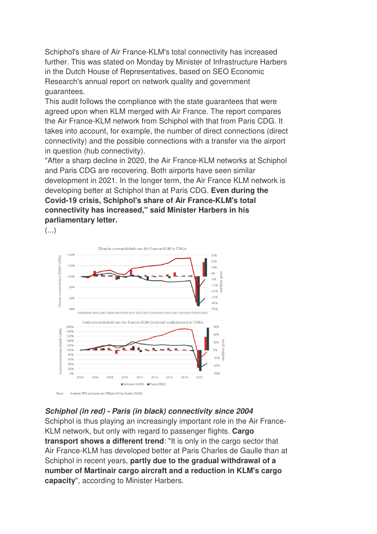Schiphol's share of Air France-KLM's total connectivity has increased further. This was stated on Monday by Minister of Infrastructure Harbers in the Dutch House of Representatives, based on SEO Economic Research's annual report on network quality and government guarantees.

This audit follows the compliance with the state guarantees that were agreed upon when KLM merged with Air France. The report compares the Air France-KLM network from Schiphol with that from Paris CDG. It takes into account, for example, the number of direct connections (direct connectivity) and the possible connections with a transfer via the airport in question (hub connectivity).

"After a sharp decline in 2020, the Air France-KLM networks at Schiphol and Paris CDG are recovering. Both airports have seen similar development in 2021. In the longer term, the Air France KLM network is developing better at Schiphol than at Paris CDG. **Even during the Covid-19 crisis, Schiphol's share of Air France-KLM's total connectivity has increased," said Minister Harbers in his parliamentary letter.**   $\left(\ldots\right)$ 



#### **Schiphol (in red) - Paris (in black) connectivity since 2004**

Schiphol is thus playing an increasingly important role in the Air France-KLM network, but only with regard to passenger flights. **Cargo transport shows a different trend**: "It is only in the cargo sector that Air France-KLM has developed better at Paris Charles de Gaulle than at Schiphol in recent years, **partly due to the gradual withdrawal of a number of Martinair cargo aircraft and a reduction in KLM's cargo capacity**", according to Minister Harbers.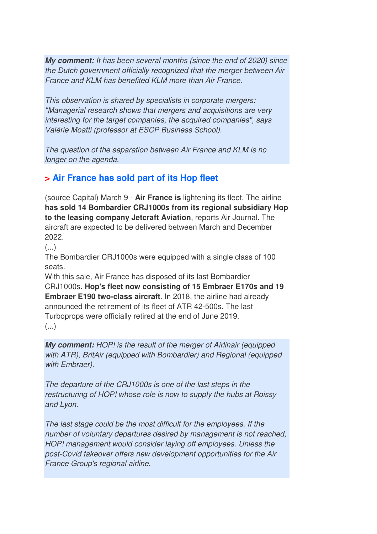**My comment:** It has been several months (since the end of 2020) since the Dutch government officially recognized that the merger between Air France and KLM has benefited KLM more than Air France.

This observation is shared by specialists in corporate mergers: "Managerial research shows that mergers and acquisitions are very interesting for the target companies, the acquired companies", says Valérie Moatti (professor at ESCP Business School).

The question of the separation between Air France and KLM is no longer on the agenda.

## **> Air France has sold part of its Hop fleet**

(source Capital) March 9 - **Air France is** lightening its fleet. The airline **has sold 14 Bombardier CRJ1000s from its regional subsidiary Hop to the leasing company Jetcraft Aviation**, reports Air Journal. The aircraft are expected to be delivered between March and December 2022.

 $($ ...)

The Bombardier CRJ1000s were equipped with a single class of 100 seats.

With this sale, Air France has disposed of its last Bombardier CRJ1000s. **Hop's fleet now consisting of 15 Embraer E170s and 19 Embraer E190 two-class aircraft**. In 2018, the airline had already announced the retirement of its fleet of ATR 42-500s. The last Turboprops were officially retired at the end of June 2019. (...)

**My comment:** HOP! is the result of the merger of Airlinair (equipped with ATR), BritAir (equipped with Bombardier) and Regional (equipped with Embraer).

The departure of the CRJ1000s is one of the last steps in the restructuring of HOP! whose role is now to supply the hubs at Roissy and Lyon.

The last stage could be the most difficult for the employees. If the number of voluntary departures desired by management is not reached, HOP! management would consider laying off employees. Unless the post-Covid takeover offers new development opportunities for the Air France Group's regional airline.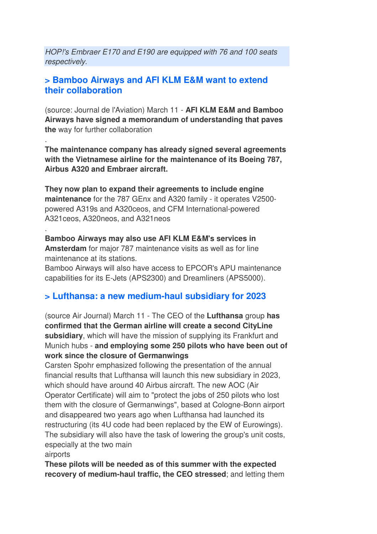HOP!'s Embraer E170 and E190 are equipped with 76 and 100 seats respectively.

#### **> Bamboo Airways and AFI KLM E&M want to extend their collaboration**

.

.

(source: Journal de l'Aviation) March 11 - **AFI KLM E&M and Bamboo Airways have signed a memorandum of understanding that paves the** way for further collaboration

**The maintenance company has already signed several agreements with the Vietnamese airline for the maintenance of its Boeing 787, Airbus A320 and Embraer aircraft.** 

**They now plan to expand their agreements to include engine maintenance** for the 787 GEnx and A320 family - it operates V2500 powered A319s and A320ceos, and CFM International-powered A321ceos, A320neos, and A321neos

**Bamboo Airways may also use AFI KLM E&M's services in Amsterdam** for major 787 maintenance visits as well as for line maintenance at its stations.

Bamboo Airways will also have access to EPCOR's APU maintenance capabilities for its E-Jets (APS2300) and Dreamliners (APS5000).

## **> Lufthansa: a new medium-haul subsidiary for 2023**

(source Air Journal) March 11 - The CEO of the **Lufthansa** group **has confirmed that the German airline will create a second CityLine subsidiary**, which will have the mission of supplying its Frankfurt and Munich hubs - **and employing some 250 pilots who have been out of work since the closure of Germanwings** 

Carsten Spohr emphasized following the presentation of the annual financial results that Lufthansa will launch this new subsidiary in 2023, which should have around 40 Airbus aircraft. The new AOC (Air Operator Certificate) will aim to "protect the jobs of 250 pilots who lost them with the closure of Germanwings", based at Cologne-Bonn airport and disappeared two years ago when Lufthansa had launched its restructuring (its 4U code had been replaced by the EW of Eurowings). The subsidiary will also have the task of lowering the group's unit costs, especially at the two main airports

**These pilots will be needed as of this summer with the expected recovery of medium-haul traffic, the CEO stressed**; and letting them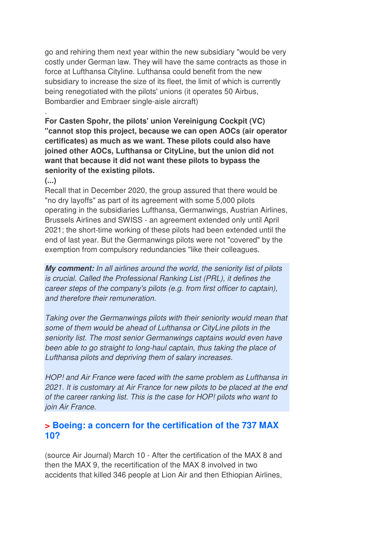go and rehiring them next year within the new subsidiary "would be very costly under German law. They will have the same contracts as those in force at Lufthansa Cityline. Lufthansa could benefit from the new subsidiary to increase the size of its fleet, the limit of which is currently being renegotiated with the pilots' unions (it operates 50 Airbus, Bombardier and Embraer single-aisle aircraft)

**For Casten Spohr, the pilots' union Vereinigung Cockpit (VC) "cannot stop this project, because we can open AOCs (air operator certificates) as much as we want. These pilots could also have joined other AOCs, Lufthansa or CityLine, but the union did not want that because it did not want these pilots to bypass the seniority of the existing pilots.** 

#### **(...)**

.

Recall that in December 2020, the group assured that there would be "no dry layoffs" as part of its agreement with some 5,000 pilots operating in the subsidiaries Lufthansa, Germanwings, Austrian Airlines, Brussels Airlines and SWISS - an agreement extended only until April 2021; the short-time working of these pilots had been extended until the end of last year. But the Germanwings pilots were not "covered" by the exemption from compulsory redundancies "like their colleagues.

**My comment:** In all airlines around the world, the seniority list of pilots is crucial. Called the Professional Ranking List (PRL), it defines the career steps of the company's pilots (e.g. from first officer to captain), and therefore their remuneration.

Taking over the Germanwings pilots with their seniority would mean that some of them would be ahead of Lufthansa or CityLine pilots in the seniority list. The most senior Germanwings captains would even have been able to go straight to long-haul captain, thus taking the place of Lufthansa pilots and depriving them of salary increases.

HOP! and Air France were faced with the same problem as Lufthansa in 2021. It is customary at Air France for new pilots to be placed at the end of the career ranking list. This is the case for HOP! pilots who want to join Air France.

#### **> Boeing: a concern for the certification of the 737 MAX 10?**

(source Air Journal) March 10 - After the certification of the MAX 8 and then the MAX 9, the recertification of the MAX 8 involved in two accidents that killed 346 people at Lion Air and then Ethiopian Airlines,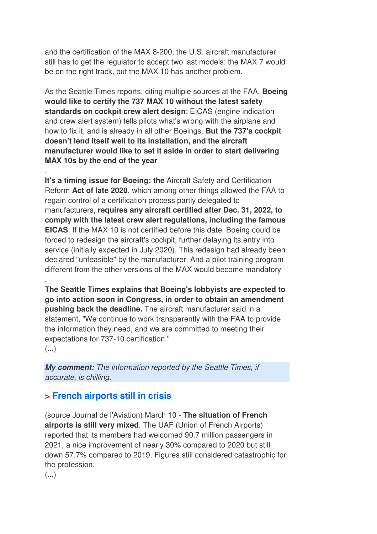and the certification of the MAX 8-200, the U.S. aircraft manufacturer still has to get the regulator to accept two last models: the MAX 7 would be on the right track, but the MAX 10 has another problem.

As the Seattle Times reports, citing multiple sources at the FAA, **Boeing would like to certify the 737 MAX 10 without the latest safety standards on cockpit crew alert design**; EICAS (engine indication and crew alert system) tells pilots what's wrong with the airplane and how to fix it, and is already in all other Boeings. **But the 737's cockpit doesn't lend itself well to its installation, and the aircraft manufacturer would like to set it aside in order to start delivering MAX 10s by the end of the year**

. **It's a timing issue for Boeing: the** Aircraft Safety and Certification Reform **Act of late 2020**, which among other things allowed the FAA to regain control of a certification process partly delegated to manufacturers, **requires any aircraft certified after Dec. 31, 2022, to comply with the latest crew alert regulations, including the famous EICAS**. If the MAX 10 is not certified before this date, Boeing could be forced to redesign the aircraft's cockpit, further delaying its entry into service (initially expected in July 2020). This redesign had already been declared "unfeasible" by the manufacturer. And a pilot training program different from the other versions of the MAX would become mandatory

**The Seattle Times explains that Boeing's lobbyists are expected to go into action soon in Congress, in order to obtain an amendment pushing back the deadline.** The aircraft manufacturer said in a statement, "We continue to work transparently with the FAA to provide the information they need, and we are committed to meeting their expectations for 737-10 certification."

 $\left(\ldots\right)$ 

.

**My comment:** The information reported by the Seattle Times, if accurate, is chilling.

## **> French airports still in crisis**

(source Journal de l'Aviation) March 10 - **The situation of French airports is still very mixed**. The UAF (Union of French Airports) reported that its members had welcomed 90.7 million passengers in 2021, a nice improvement of nearly 30% compared to 2020 but still down 57.7% compared to 2019. Figures still considered catastrophic for the profession.

(...)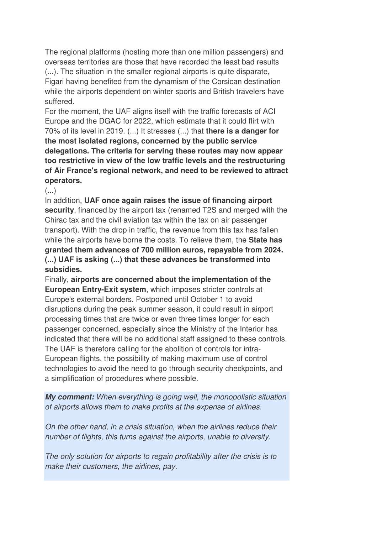The regional platforms (hosting more than one million passengers) and overseas territories are those that have recorded the least bad results (...). The situation in the smaller regional airports is quite disparate, Figari having benefited from the dynamism of the Corsican destination while the airports dependent on winter sports and British travelers have suffered.

For the moment, the UAF aligns itself with the traffic forecasts of ACI Europe and the DGAC for 2022, which estimate that it could flirt with 70% of its level in 2019. (...) It stresses (...) that **there is a danger for the most isolated regions, concerned by the public service delegations. The criteria for serving these routes may now appear too restrictive in view of the low traffic levels and the restructuring of Air France's regional network, and need to be reviewed to attract operators.** 

(...)

In addition, **UAF once again raises the issue of financing airport security**, financed by the airport tax (renamed T2S and merged with the Chirac tax and the civil aviation tax within the tax on air passenger transport). With the drop in traffic, the revenue from this tax has fallen while the airports have borne the costs. To relieve them, the **State has granted them advances of 700 million euros, repayable from 2024. (...) UAF is asking (...) that these advances be transformed into subsidies.** 

Finally, **airports are concerned about the implementation of the European Entry-Exit system**, which imposes stricter controls at Europe's external borders. Postponed until October 1 to avoid disruptions during the peak summer season, it could result in airport processing times that are twice or even three times longer for each passenger concerned, especially since the Ministry of the Interior has indicated that there will be no additional staff assigned to these controls. The UAF is therefore calling for the abolition of controls for intra-European flights, the possibility of making maximum use of control technologies to avoid the need to go through security checkpoints, and a simplification of procedures where possible.

**My comment:** When everything is going well, the monopolistic situation of airports allows them to make profits at the expense of airlines.

On the other hand, in a crisis situation, when the airlines reduce their number of flights, this turns against the airports, unable to diversify.

The only solution for airports to regain profitability after the crisis is to make their customers, the airlines, pay.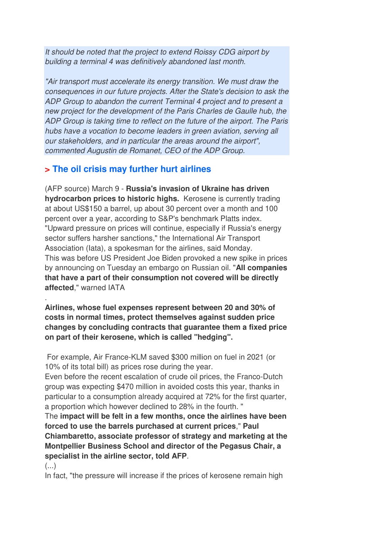It should be noted that the project to extend Roissy CDG airport by building a terminal 4 was definitively abandoned last month.

"Air transport must accelerate its energy transition. We must draw the consequences in our future projects. After the State's decision to ask the ADP Group to abandon the current Terminal 4 project and to present a new project for the development of the Paris Charles de Gaulle hub, the ADP Group is taking time to reflect on the future of the airport. The Paris hubs have a vocation to become leaders in green aviation, serving all our stakeholders, and in particular the areas around the airport", commented Augustin de Romanet, CEO of the ADP Group.

## **> The oil crisis may further hurt airlines**

(AFP source) March 9 - **Russia's invasion of Ukraine has driven hydrocarbon prices to historic highs.** Kerosene is currently trading at about US\$150 a barrel, up about 30 percent over a month and 100 percent over a year, according to S&P's benchmark Platts index. "Upward pressure on prices will continue, especially if Russia's energy sector suffers harsher sanctions," the International Air Transport Association (Iata), a spokesman for the airlines, said Monday. This was before US President Joe Biden provoked a new spike in prices by announcing on Tuesday an embargo on Russian oil. "**All companies that have a part of their consumption not covered will be directly affected**," warned IATA

**Airlines, whose fuel expenses represent between 20 and 30% of costs in normal times, protect themselves against sudden price changes by concluding contracts that guarantee them a fixed price on part of their kerosene, which is called "hedging".** 

 For example, Air France-KLM saved \$300 million on fuel in 2021 (or 10% of its total bill) as prices rose during the year.

Even before the recent escalation of crude oil prices, the Franco-Dutch group was expecting \$470 million in avoided costs this year, thanks in particular to a consumption already acquired at 72% for the first quarter, a proportion which however declined to 28% in the fourth. "

The **impact will be felt in a few months, once the airlines have been forced to use the barrels purchased at current prices**," **Paul Chiambaretto, associate professor of strategy and marketing at the Montpellier Business School and director of the Pegasus Chair, a specialist in the airline sector, told AFP**.

 $\left(\ldots\right)$ 

.

In fact, "the pressure will increase if the prices of kerosene remain high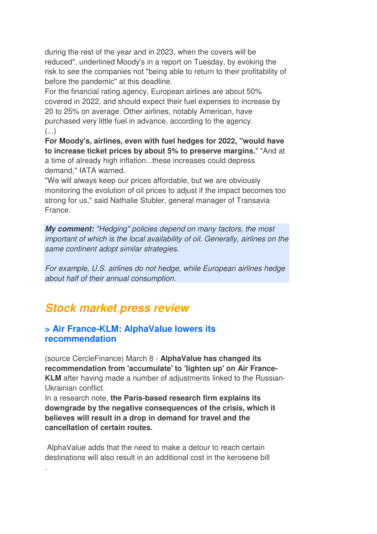during the rest of the year and in 2023, when the covers will be reduced", underlined Moody's in a report on Tuesday, by evoking the risk to see the companies not "being able to return to their profitability of before the pandemic" at this deadline.

For the financial rating agency, European airlines are about 50% covered in 2022, and should expect their fuel expenses to increase by 20 to 25% on average. Other airlines, notably American, have purchased very little fuel in advance, according to the agency.  $\left(\ldots\right)$ 

**For Moody's, airlines, even with fuel hedges for 2022, "would have to increase ticket prices by about 5% to preserve margins.**" "And at a time of already high inflation...these increases could depress demand," IATA warned.

"We will always keep our prices affordable, but we are obviously monitoring the evolution of oil prices to adjust if the impact becomes too strong for us," said Nathalie Stubler, general manager of Transavia France.

**My comment:** "Hedging" policies depend on many factors, the most important of which is the local availability of oil. Generally, airlines on the same continent adopt similar strategies.

For example, U.S. airlines do not hedge, while European airlines hedge about half of their annual consumption.

## **Stock market press review**

.

#### **> Air France-KLM: AlphaValue lowers its recommendation**

(source CercleFinance) March 8 - **AlphaValue has changed its recommendation from 'accumulate' to 'lighten up' on Air France-KLM** after having made a number of adjustments linked to the Russian-Ukrainian conflict.

In a research note, **the Paris-based research firm explains its downgrade by the negative consequences of the crisis, which it believes will result in a drop in demand for travel and the cancellation of certain routes.** 

 AlphaValue adds that the need to make a detour to reach certain destinations will also result in an additional cost in the kerosene bill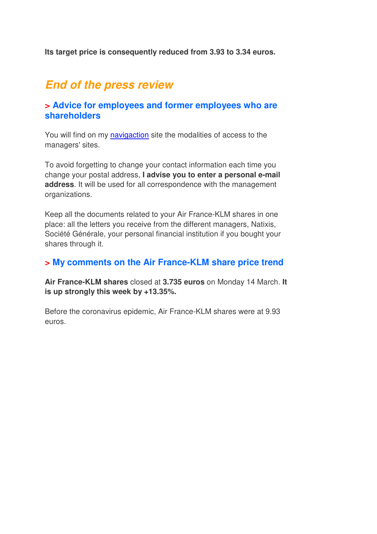**Its target price is consequently reduced from 3.93 to 3.34 euros.**

## **End of the press review**

#### **> Advice for employees and former employees who are shareholders**

You will find on my navigaction site the modalities of access to the managers' sites.

To avoid forgetting to change your contact information each time you change your postal address, **I advise you to enter a personal e-mail address**. It will be used for all correspondence with the management organizations.

Keep all the documents related to your Air France-KLM shares in one place: all the letters you receive from the different managers, Natixis, Société Générale, your personal financial institution if you bought your shares through it.

#### **> My comments on the Air France-KLM share price trend**

**Air France-KLM shares** closed at **3.735 euros** on Monday 14 March. **It is up strongly this week by +13.35%.** 

Before the coronavirus epidemic, Air France-KLM shares were at 9.93 euros.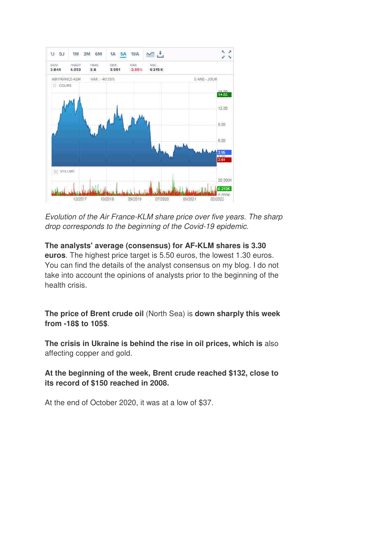

Evolution of the Air France-KLM share price over five years. The sharp drop corresponds to the beginning of the Covid-19 epidemic.

**The analysts' average (consensus) for AF-KLM shares is 3.30 euros**. The highest price target is 5.50 euros, the lowest 1.30 euros. You can find the details of the analyst consensus on my blog. I do not take into account the opinions of analysts prior to the beginning of the health crisis.

**The price of Brent crude oil** (North Sea) is **down sharply this week from -18\$ to 105\$**.

**The crisis in Ukraine is behind the rise in oil prices, which is** also affecting copper and gold.

**At the beginning of the week, Brent crude reached \$132, close to its record of \$150 reached in 2008.** 

At the end of October 2020, it was at a low of \$37.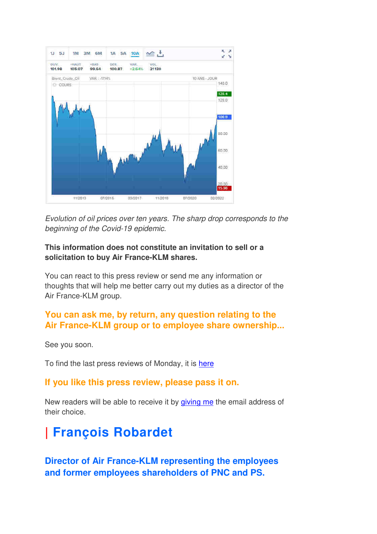

Evolution of oil prices over ten years. The sharp drop corresponds to the beginning of the Covid-19 epidemic.

#### **This information does not constitute an invitation to sell or a solicitation to buy Air France-KLM shares.**

You can react to this press review or send me any information or thoughts that will help me better carry out my duties as a director of the Air France-KLM group.

## **You can ask me, by return, any question relating to the Air France-KLM group or to employee share ownership...**

See you soon.

To find the last press reviews of Monday, it is here

### **If you like this press review, please pass it on.**

New readers will be able to receive it by giving me the email address of their choice.

# **| François Robardet**

**Director of Air France-KLM representing the employees and former employees shareholders of PNC and PS.**